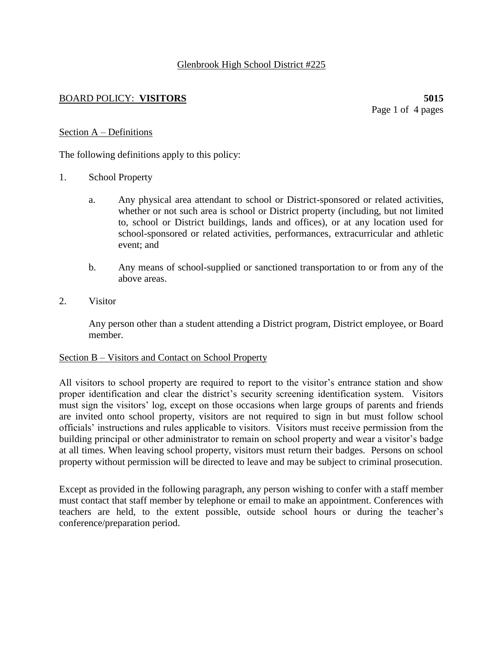## Glenbrook High School District #225

## BOARD POLICY: **VISITORS 5015**

Page 1 of 4 pages

#### Section A – Definitions

The following definitions apply to this policy:

- 1. School Property
	- a. Any physical area attendant to school or District-sponsored or related activities, whether or not such area is school or District property (including, but not limited to, school or District buildings, lands and offices), or at any location used for school-sponsored or related activities, performances, extracurricular and athletic event; and
	- b. Any means of school-supplied or sanctioned transportation to or from any of the above areas.
- 2. Visitor

Any person other than a student attending a District program, District employee, or Board member.

#### Section B – Visitors and Contact on School Property

All visitors to school property are required to report to the visitor's entrance station and show proper identification and clear the district's security screening identification system. Visitors must sign the visitors' log, except on those occasions when large groups of parents and friends are invited onto school property, visitors are not required to sign in but must follow school officials' instructions and rules applicable to visitors. Visitors must receive permission from the building principal or other administrator to remain on school property and wear a visitor's badge at all times. When leaving school property, visitors must return their badges. Persons on school property without permission will be directed to leave and may be subject to criminal prosecution.

Except as provided in the following paragraph, any person wishing to confer with a staff member must contact that staff member by telephone or email to make an appointment. Conferences with teachers are held, to the extent possible, outside school hours or during the teacher's conference/preparation period.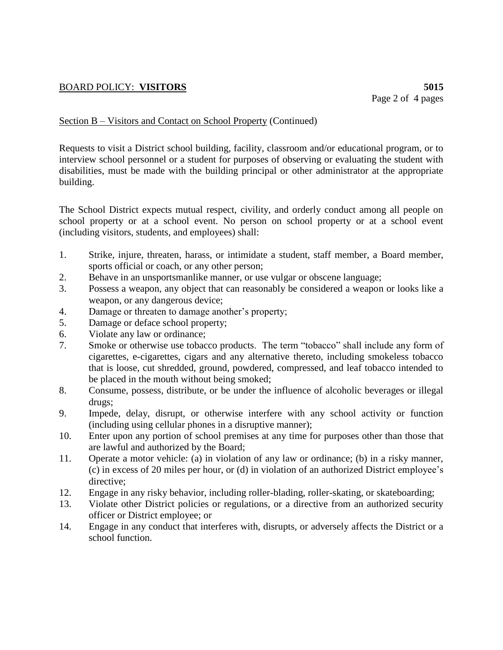# BOARD POLICY: **VISITORS 5015**

## Section B – Visitors and Contact on School Property (Continued)

Requests to visit a District school building, facility, classroom and/or educational program, or to interview school personnel or a student for purposes of observing or evaluating the student with disabilities, must be made with the building principal or other administrator at the appropriate building.

The School District expects mutual respect, civility, and orderly conduct among all people on school property or at a school event. No person on school property or at a school event (including visitors, students, and employees) shall:

- 1. Strike, injure, threaten, harass, or intimidate a student, staff member, a Board member, sports official or coach, or any other person;
- 2. Behave in an unsportsmanlike manner, or use vulgar or obscene language;
- 3. Possess a weapon, any object that can reasonably be considered a weapon or looks like a weapon, or any dangerous device;
- 4. Damage or threaten to damage another's property;
- 5. Damage or deface school property;
- 6. Violate any law or ordinance;
- 7. Smoke or otherwise use tobacco products. The term "tobacco" shall include any form of cigarettes, e-cigarettes, cigars and any alternative thereto, including smokeless tobacco that is loose, cut shredded, ground, powdered, compressed, and leaf tobacco intended to be placed in the mouth without being smoked;
- 8. Consume, possess, distribute, or be under the influence of alcoholic beverages or illegal drugs;
- 9. Impede, delay, disrupt, or otherwise interfere with any school activity or function (including using cellular phones in a disruptive manner);
- 10. Enter upon any portion of school premises at any time for purposes other than those that are lawful and authorized by the Board;
- 11. Operate a motor vehicle: (a) in violation of any law or ordinance; (b) in a risky manner, (c) in excess of 20 miles per hour, or (d) in violation of an authorized District employee's directive;
- 12. Engage in any risky behavior, including roller-blading, roller-skating, or skateboarding;
- 13. Violate other District policies or regulations, or a directive from an authorized security officer or District employee; or
- 14. Engage in any conduct that interferes with, disrupts, or adversely affects the District or a school function.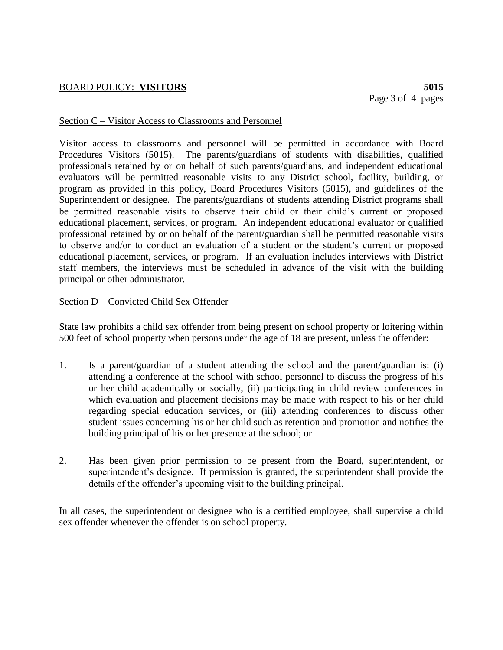## BOARD POLICY: **VISITORS 5015**

#### Section C – Visitor Access to Classrooms and Personnel

Visitor access to classrooms and personnel will be permitted in accordance with Board Procedures Visitors (5015). The parents/guardians of students with disabilities, qualified professionals retained by or on behalf of such parents/guardians, and independent educational evaluators will be permitted reasonable visits to any District school, facility, building, or program as provided in this policy, Board Procedures Visitors (5015), and guidelines of the Superintendent or designee. The parents/guardians of students attending District programs shall be permitted reasonable visits to observe their child or their child's current or proposed educational placement, services, or program. An independent educational evaluator or qualified professional retained by or on behalf of the parent/guardian shall be permitted reasonable visits to observe and/or to conduct an evaluation of a student or the student's current or proposed educational placement, services, or program. If an evaluation includes interviews with District staff members, the interviews must be scheduled in advance of the visit with the building principal or other administrator.

#### Section D – Convicted Child Sex Offender

State law prohibits a child sex offender from being present on school property or loitering within 500 feet of school property when persons under the age of 18 are present, unless the offender:

- 1. Is a parent/guardian of a student attending the school and the parent/guardian is: (i) attending a conference at the school with school personnel to discuss the progress of his or her child academically or socially, (ii) participating in child review conferences in which evaluation and placement decisions may be made with respect to his or her child regarding special education services, or (iii) attending conferences to discuss other student issues concerning his or her child such as retention and promotion and notifies the building principal of his or her presence at the school; or
- 2. Has been given prior permission to be present from the Board, superintendent, or superintendent's designee. If permission is granted, the superintendent shall provide the details of the offender's upcoming visit to the building principal.

In all cases, the superintendent or designee who is a certified employee, shall supervise a child sex offender whenever the offender is on school property.